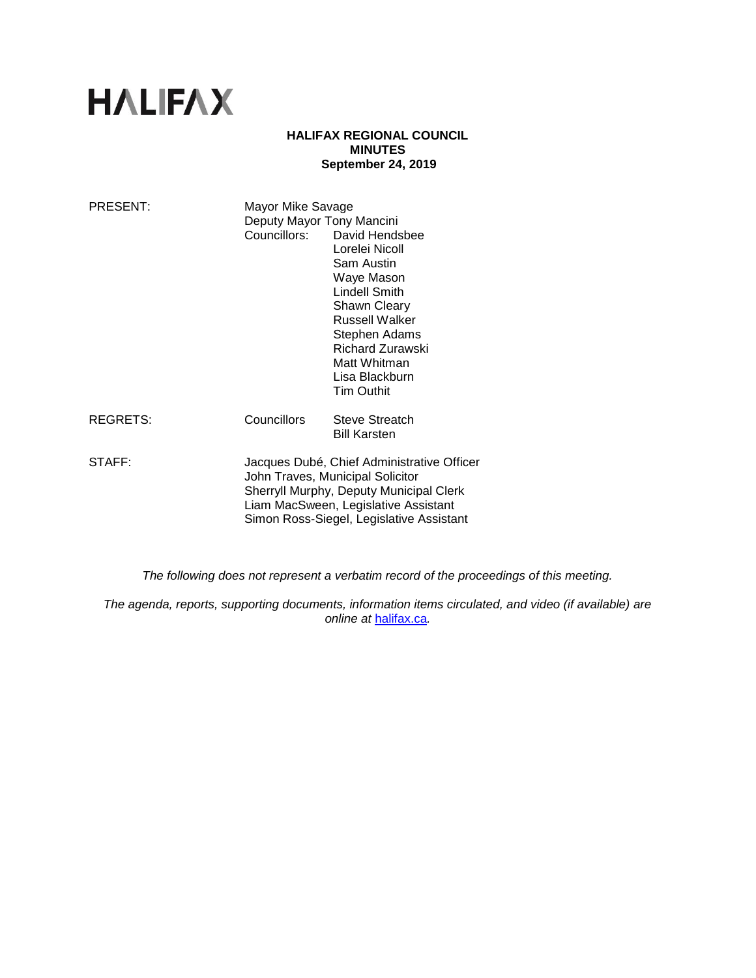# **HALIFAX**

## **HALIFAX REGIONAL COUNCIL MINUTES September 24, 2019**

| PRESENT: | Mayor Mike Savage<br>Deputy Mayor Tony Mancini                                                                                                                                                                | Councillors: David Hendsbee<br>Lorelei Nicoll<br>Sam Austin<br>Waye Mason<br>Lindell Smith<br>Shawn Cleary<br><b>Russell Walker</b><br>Stephen Adams<br>Richard Zurawski<br>Matt Whitman<br>Lisa Blackburn<br><b>Tim Outhit</b> |
|----------|---------------------------------------------------------------------------------------------------------------------------------------------------------------------------------------------------------------|---------------------------------------------------------------------------------------------------------------------------------------------------------------------------------------------------------------------------------|
| REGRETS: | Councillors                                                                                                                                                                                                   | Steve Streatch<br><b>Bill Karsten</b>                                                                                                                                                                                           |
| STAFF:   | Jacques Dubé, Chief Administrative Officer<br>John Traves, Municipal Solicitor<br>Sherryll Murphy, Deputy Municipal Clerk<br>Liam MacSween, Legislative Assistant<br>Simon Ross-Siegel, Legislative Assistant |                                                                                                                                                                                                                                 |

*The following does not represent a verbatim record of the proceedings of this meeting.*

*The agenda, reports, supporting documents, information items circulated, and video (if available) are online at* [halifax.ca](http://www.halifax.ca/)*.*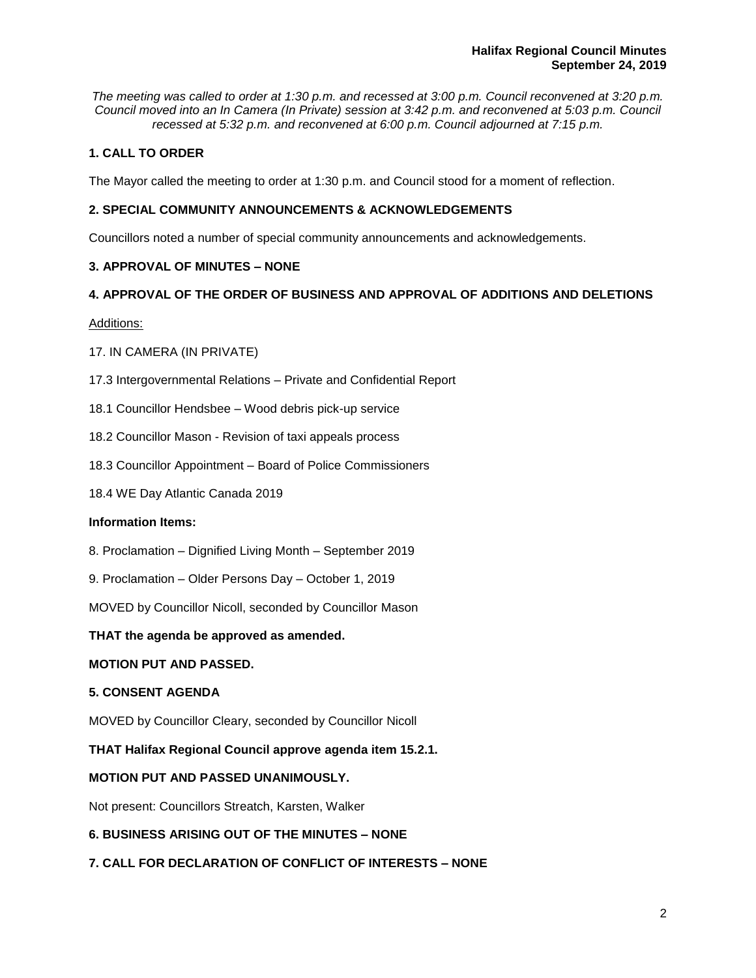*The meeting was called to order at 1:30 p.m. and recessed at 3:00 p.m. Council reconvened at 3:20 p.m. Council moved into an In Camera (In Private) session at 3:42 p.m. and reconvened at 5:03 p.m. Council recessed at 5:32 p.m. and reconvened at 6:00 p.m. Council adjourned at 7:15 p.m.*

# **1. CALL TO ORDER**

The Mayor called the meeting to order at 1:30 p.m. and Council stood for a moment of reflection.

# **2. SPECIAL COMMUNITY ANNOUNCEMENTS & ACKNOWLEDGEMENTS**

Councillors noted a number of special community announcements and acknowledgements.

# **3. APPROVAL OF MINUTES – NONE**

# **4. APPROVAL OF THE ORDER OF BUSINESS AND APPROVAL OF ADDITIONS AND DELETIONS**

Additions:

# 17. IN CAMERA (IN PRIVATE)

- 17.3 Intergovernmental Relations Private and Confidential Report
- 18.1 Councillor Hendsbee Wood debris pick-up service
- 18.2 Councillor Mason Revision of taxi appeals process
- 18.3 Councillor Appointment Board of Police Commissioners
- 18.4 WE Day Atlantic Canada 2019

## **Information Items:**

- 8. Proclamation Dignified Living Month September 2019
- 9. Proclamation Older Persons Day October 1, 2019

MOVED by Councillor Nicoll, seconded by Councillor Mason

**THAT the agenda be approved as amended.** 

# **MOTION PUT AND PASSED.**

# **5. CONSENT AGENDA**

MOVED by Councillor Cleary, seconded by Councillor Nicoll

**THAT Halifax Regional Council approve agenda item 15.2.1.** 

# **MOTION PUT AND PASSED UNANIMOUSLY.**

Not present: Councillors Streatch, Karsten, Walker

# **6. BUSINESS ARISING OUT OF THE MINUTES – NONE**

**7. CALL FOR DECLARATION OF CONFLICT OF INTERESTS – NONE**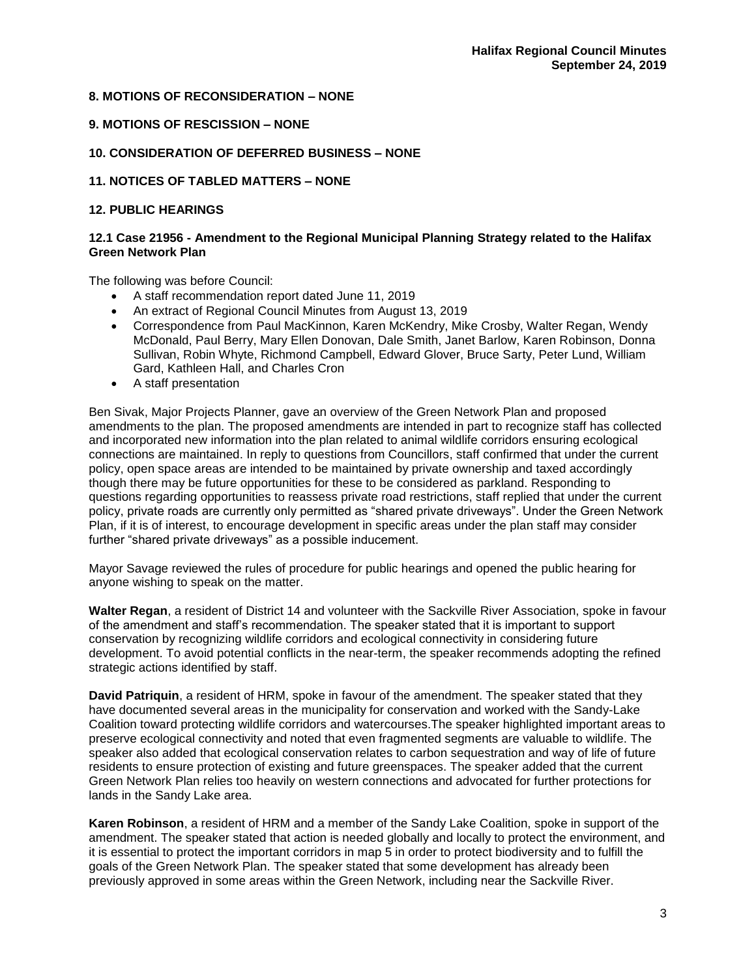# **8. MOTIONS OF RECONSIDERATION – NONE**

## **9. MOTIONS OF RESCISSION – NONE**

# **10. CONSIDERATION OF DEFERRED BUSINESS – NONE**

## **11. NOTICES OF TABLED MATTERS – NONE**

## **12. PUBLIC HEARINGS**

## **12.1 Case 21956 - Amendment to the Regional Municipal Planning Strategy related to the Halifax Green Network Plan**

The following was before Council:

- A staff recommendation report dated June 11, 2019
- An extract of Regional Council Minutes from August 13, 2019
- Correspondence from Paul MacKinnon, Karen McKendry, Mike Crosby, Walter Regan, Wendy McDonald, Paul Berry, Mary Ellen Donovan, Dale Smith, Janet Barlow, Karen Robinson, Donna Sullivan, Robin Whyte, Richmond Campbell, Edward Glover, Bruce Sarty, Peter Lund, William Gard, Kathleen Hall, and Charles Cron
- A staff presentation

Ben Sivak, Major Projects Planner, gave an overview of the Green Network Plan and proposed amendments to the plan. The proposed amendments are intended in part to recognize staff has collected and incorporated new information into the plan related to animal wildlife corridors ensuring ecological connections are maintained. In reply to questions from Councillors, staff confirmed that under the current policy, open space areas are intended to be maintained by private ownership and taxed accordingly though there may be future opportunities for these to be considered as parkland. Responding to questions regarding opportunities to reassess private road restrictions, staff replied that under the current policy, private roads are currently only permitted as "shared private driveways". Under the Green Network Plan, if it is of interest, to encourage development in specific areas under the plan staff may consider further "shared private driveways" as a possible inducement.

Mayor Savage reviewed the rules of procedure for public hearings and opened the public hearing for anyone wishing to speak on the matter.

**Walter Regan**, a resident of District 14 and volunteer with the Sackville River Association, spoke in favour of the amendment and staff's recommendation. The speaker stated that it is important to support conservation by recognizing wildlife corridors and ecological connectivity in considering future development. To avoid potential conflicts in the near-term, the speaker recommends adopting the refined strategic actions identified by staff.

**David Patriquin**, a resident of HRM, spoke in favour of the amendment. The speaker stated that they have documented several areas in the municipality for conservation and worked with the Sandy-Lake Coalition toward protecting wildlife corridors and watercourses.The speaker highlighted important areas to preserve ecological connectivity and noted that even fragmented segments are valuable to wildlife. The speaker also added that ecological conservation relates to carbon sequestration and way of life of future residents to ensure protection of existing and future greenspaces. The speaker added that the current Green Network Plan relies too heavily on western connections and advocated for further protections for lands in the Sandy Lake area.

**Karen Robinson**, a resident of HRM and a member of the Sandy Lake Coalition, spoke in support of the amendment. The speaker stated that action is needed globally and locally to protect the environment, and it is essential to protect the important corridors in map 5 in order to protect biodiversity and to fulfill the goals of the Green Network Plan. The speaker stated that some development has already been previously approved in some areas within the Green Network, including near the Sackville River.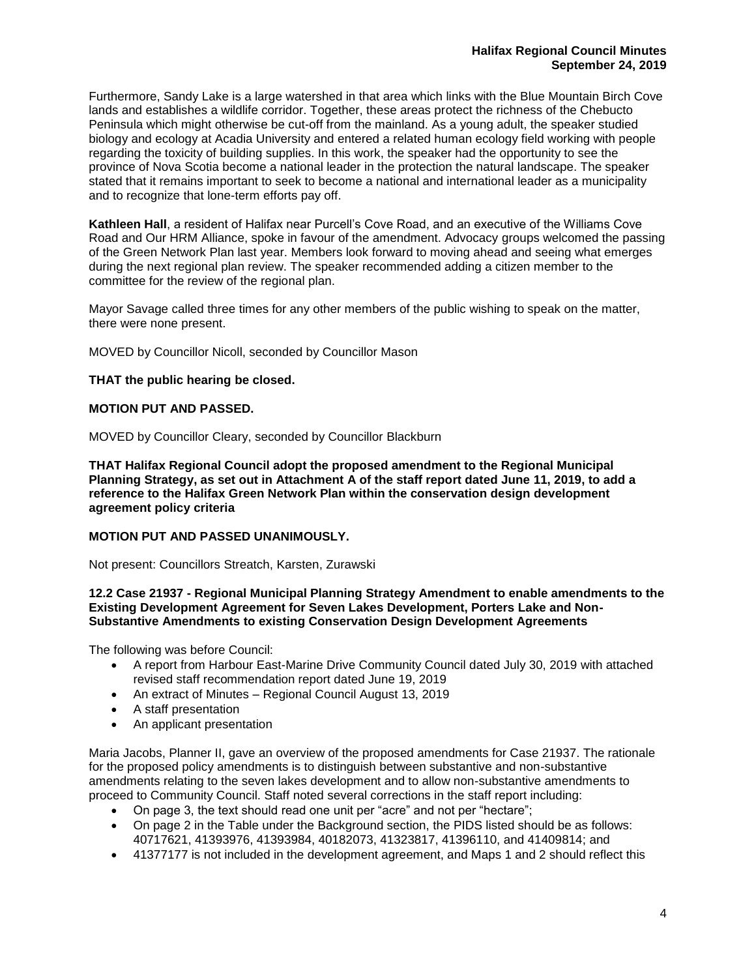Furthermore, Sandy Lake is a large watershed in that area which links with the Blue Mountain Birch Cove lands and establishes a wildlife corridor. Together, these areas protect the richness of the Chebucto Peninsula which might otherwise be cut-off from the mainland. As a young adult, the speaker studied biology and ecology at Acadia University and entered a related human ecology field working with people regarding the toxicity of building supplies. In this work, the speaker had the opportunity to see the province of Nova Scotia become a national leader in the protection the natural landscape. The speaker stated that it remains important to seek to become a national and international leader as a municipality and to recognize that lone-term efforts pay off.

**Kathleen Hall**, a resident of Halifax near Purcell's Cove Road, and an executive of the Williams Cove Road and Our HRM Alliance, spoke in favour of the amendment. Advocacy groups welcomed the passing of the Green Network Plan last year. Members look forward to moving ahead and seeing what emerges during the next regional plan review. The speaker recommended adding a citizen member to the committee for the review of the regional plan.

Mayor Savage called three times for any other members of the public wishing to speak on the matter, there were none present.

MOVED by Councillor Nicoll, seconded by Councillor Mason

## **THAT the public hearing be closed.**

## **MOTION PUT AND PASSED.**

MOVED by Councillor Cleary, seconded by Councillor Blackburn

**THAT Halifax Regional Council adopt the proposed amendment to the Regional Municipal Planning Strategy, as set out in Attachment A of the staff report dated June 11, 2019, to add a reference to the Halifax Green Network Plan within the conservation design development agreement policy criteria**

## **MOTION PUT AND PASSED UNANIMOUSLY.**

Not present: Councillors Streatch, Karsten, Zurawski

#### **12.2 Case 21937 - Regional Municipal Planning Strategy Amendment to enable amendments to the Existing Development Agreement for Seven Lakes Development, Porters Lake and Non-Substantive Amendments to existing Conservation Design Development Agreements**

The following was before Council:

- A report from Harbour East-Marine Drive Community Council dated July 30, 2019 with attached revised staff recommendation report dated June 19, 2019
- An extract of Minutes Regional Council August 13, 2019
- A staff presentation
- An applicant presentation

Maria Jacobs, Planner II, gave an overview of the proposed amendments for Case 21937. The rationale for the proposed policy amendments is to distinguish between substantive and non-substantive amendments relating to the seven lakes development and to allow non-substantive amendments to proceed to Community Council. Staff noted several corrections in the staff report including:

- On page 3, the text should read one unit per "acre" and not per "hectare";
- On page 2 in the Table under the Background section, the PIDS listed should be as follows: 40717621, 41393976, 41393984, 40182073, 41323817, 41396110, and 41409814; and
- 41377177 is not included in the development agreement, and Maps 1 and 2 should reflect this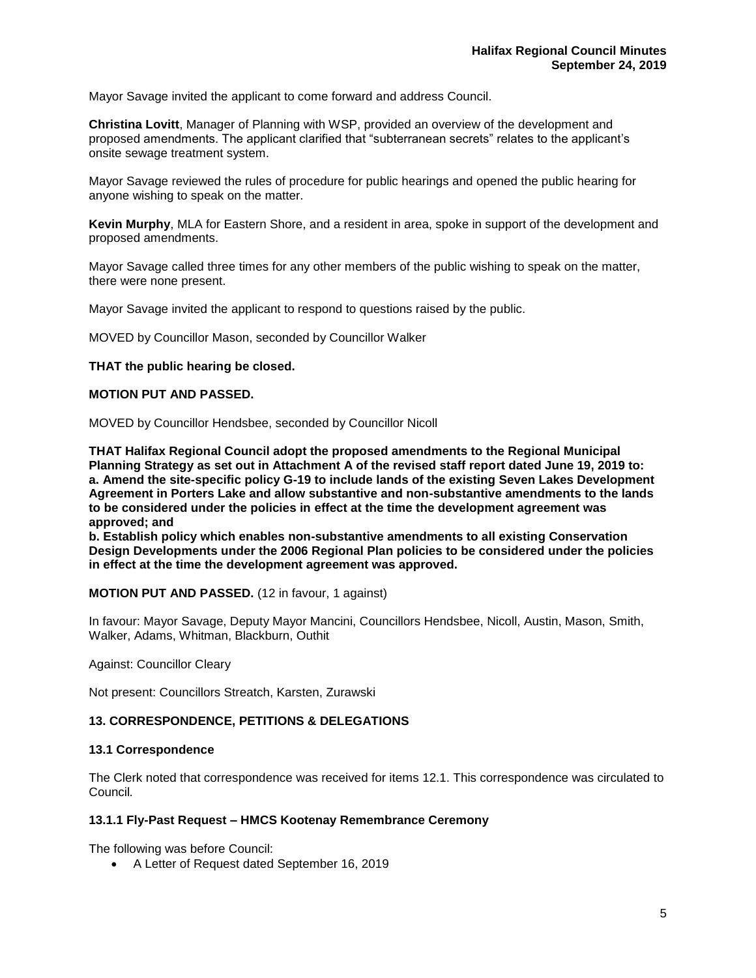Mayor Savage invited the applicant to come forward and address Council.

**Christina Lovitt**, Manager of Planning with WSP, provided an overview of the development and proposed amendments. The applicant clarified that "subterranean secrets" relates to the applicant's onsite sewage treatment system.

Mayor Savage reviewed the rules of procedure for public hearings and opened the public hearing for anyone wishing to speak on the matter.

**Kevin Murphy**, MLA for Eastern Shore, and a resident in area, spoke in support of the development and proposed amendments.

Mayor Savage called three times for any other members of the public wishing to speak on the matter, there were none present.

Mayor Savage invited the applicant to respond to questions raised by the public.

MOVED by Councillor Mason, seconded by Councillor Walker

# **THAT the public hearing be closed.**

## **MOTION PUT AND PASSED.**

MOVED by Councillor Hendsbee, seconded by Councillor Nicoll

**THAT Halifax Regional Council adopt the proposed amendments to the Regional Municipal Planning Strategy as set out in Attachment A of the revised staff report dated June 19, 2019 to: a. Amend the site-specific policy G-19 to include lands of the existing Seven Lakes Development Agreement in Porters Lake and allow substantive and non-substantive amendments to the lands to be considered under the policies in effect at the time the development agreement was approved; and**

**b. Establish policy which enables non-substantive amendments to all existing Conservation Design Developments under the 2006 Regional Plan policies to be considered under the policies in effect at the time the development agreement was approved.**

**MOTION PUT AND PASSED.** (12 in favour, 1 against)

In favour: Mayor Savage, Deputy Mayor Mancini, Councillors Hendsbee, Nicoll, Austin, Mason, Smith, Walker, Adams, Whitman, Blackburn, Outhit

Against: Councillor Cleary

Not present: Councillors Streatch, Karsten, Zurawski

## **13. CORRESPONDENCE, PETITIONS & DELEGATIONS**

## **13.1 Correspondence**

The Clerk noted that correspondence was received for items 12.1. This correspondence was circulated to Council*.*

## **13.1.1 Fly-Past Request – HMCS Kootenay Remembrance Ceremony**

The following was before Council:

• A Letter of Request dated September 16, 2019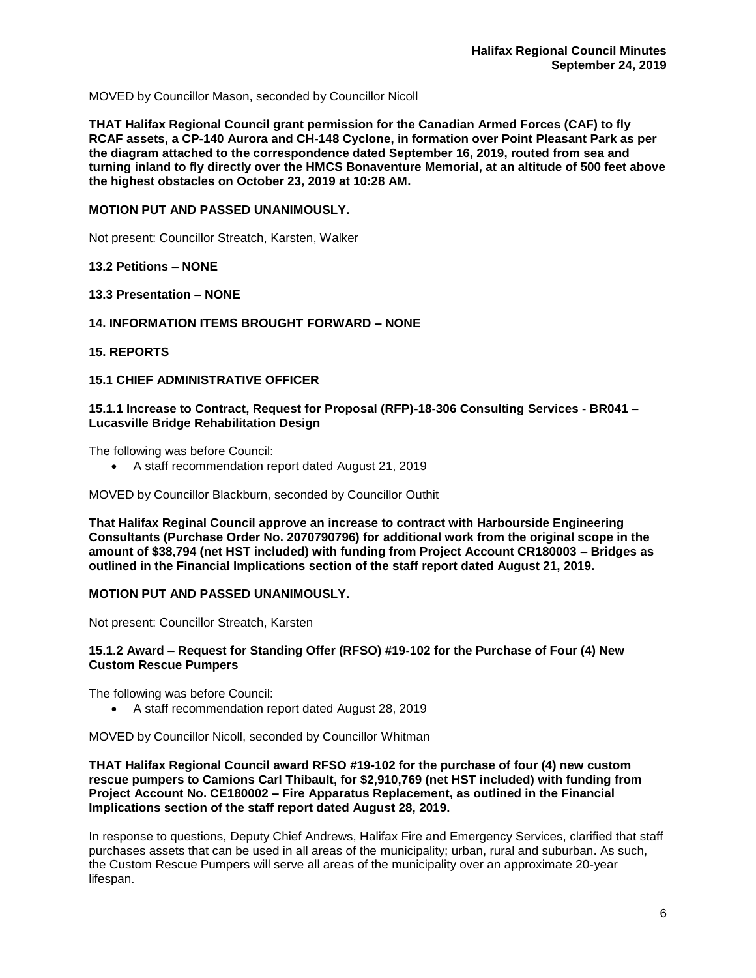MOVED by Councillor Mason, seconded by Councillor Nicoll

**THAT Halifax Regional Council grant permission for the Canadian Armed Forces (CAF) to fly RCAF assets, a CP-140 Aurora and CH-148 Cyclone, in formation over Point Pleasant Park as per the diagram attached to the correspondence dated September 16, 2019, routed from sea and turning inland to fly directly over the HMCS Bonaventure Memorial, at an altitude of 500 feet above the highest obstacles on October 23, 2019 at 10:28 AM.** 

#### **MOTION PUT AND PASSED UNANIMOUSLY.**

Not present: Councillor Streatch, Karsten, Walker

## **13.2 Petitions – NONE**

#### **13.3 Presentation – NONE**

#### **14. INFORMATION ITEMS BROUGHT FORWARD – NONE**

#### **15. REPORTS**

## **15.1 CHIEF ADMINISTRATIVE OFFICER**

## **15.1.1 Increase to Contract, Request for Proposal (RFP)-18-306 Consulting Services - BR041 – Lucasville Bridge Rehabilitation Design**

The following was before Council:

• A staff recommendation report dated August 21, 2019

MOVED by Councillor Blackburn, seconded by Councillor Outhit

**That Halifax Reginal Council approve an increase to contract with Harbourside Engineering Consultants (Purchase Order No. 2070790796) for additional work from the original scope in the amount of \$38,794 (net HST included) with funding from Project Account CR180003 – Bridges as outlined in the Financial Implications section of the staff report dated August 21, 2019.**

## **MOTION PUT AND PASSED UNANIMOUSLY.**

Not present: Councillor Streatch, Karsten

## **15.1.2 Award – Request for Standing Offer (RFSO) #19-102 for the Purchase of Four (4) New Custom Rescue Pumpers**

The following was before Council:

• A staff recommendation report dated August 28, 2019

MOVED by Councillor Nicoll, seconded by Councillor Whitman

**THAT Halifax Regional Council award RFSO #19-102 for the purchase of four (4) new custom rescue pumpers to Camions Carl Thibault, for \$2,910,769 (net HST included) with funding from Project Account No. CE180002 – Fire Apparatus Replacement, as outlined in the Financial Implications section of the staff report dated August 28, 2019.**

In response to questions, Deputy Chief Andrews, Halifax Fire and Emergency Services, clarified that staff purchases assets that can be used in all areas of the municipality; urban, rural and suburban. As such, the Custom Rescue Pumpers will serve all areas of the municipality over an approximate 20-year lifespan.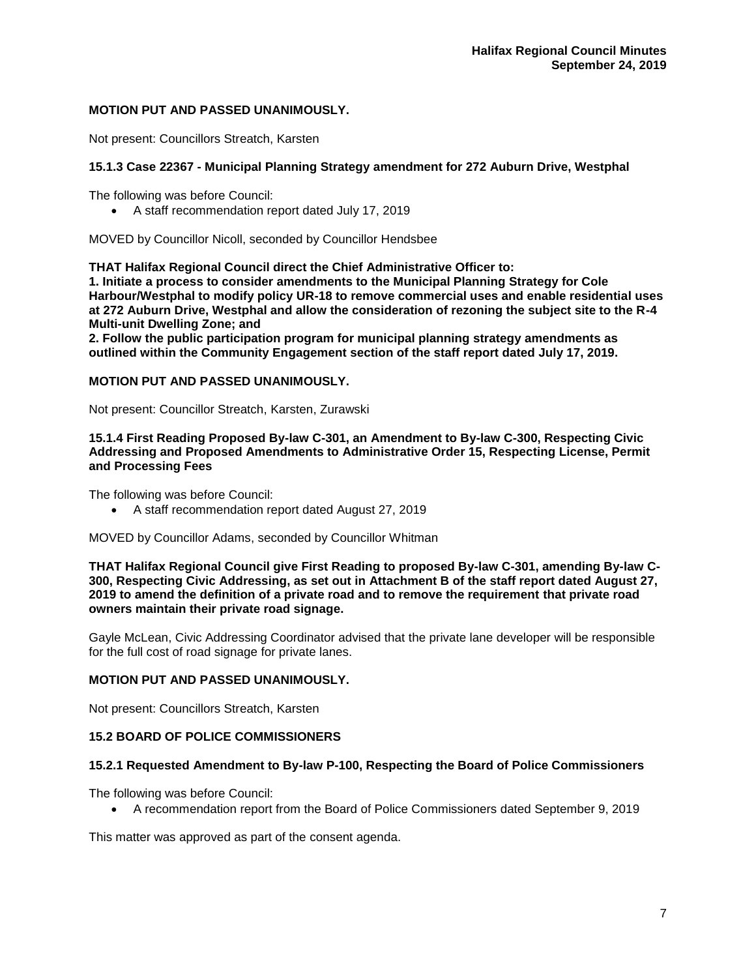## **MOTION PUT AND PASSED UNANIMOUSLY.**

Not present: Councillors Streatch, Karsten

# **15.1.3 Case 22367 - Municipal Planning Strategy amendment for 272 Auburn Drive, Westphal**

The following was before Council:

• A staff recommendation report dated July 17, 2019

MOVED by Councillor Nicoll, seconded by Councillor Hendsbee

**THAT Halifax Regional Council direct the Chief Administrative Officer to:**

**1. Initiate a process to consider amendments to the Municipal Planning Strategy for Cole Harbour/Westphal to modify policy UR-18 to remove commercial uses and enable residential uses at 272 Auburn Drive, Westphal and allow the consideration of rezoning the subject site to the R-4 Multi-unit Dwelling Zone; and**

**2. Follow the public participation program for municipal planning strategy amendments as outlined within the Community Engagement section of the staff report dated July 17, 2019.**

## **MOTION PUT AND PASSED UNANIMOUSLY.**

Not present: Councillor Streatch, Karsten, Zurawski

**15.1.4 First Reading Proposed By-law C-301, an Amendment to By-law C-300, Respecting Civic Addressing and Proposed Amendments to Administrative Order 15, Respecting License, Permit and Processing Fees**

The following was before Council:

• A staff recommendation report dated August 27, 2019

MOVED by Councillor Adams, seconded by Councillor Whitman

**THAT Halifax Regional Council give First Reading to proposed By-law C-301, amending By-law C-300, Respecting Civic Addressing, as set out in Attachment B of the staff report dated August 27, 2019 to amend the definition of a private road and to remove the requirement that private road owners maintain their private road signage.**

Gayle McLean, Civic Addressing Coordinator advised that the private lane developer will be responsible for the full cost of road signage for private lanes.

# **MOTION PUT AND PASSED UNANIMOUSLY.**

Not present: Councillors Streatch, Karsten

# **15.2 BOARD OF POLICE COMMISSIONERS**

## **15.2.1 Requested Amendment to By-law P-100, Respecting the Board of Police Commissioners**

The following was before Council:

• A recommendation report from the Board of Police Commissioners dated September 9, 2019

This matter was approved as part of the consent agenda.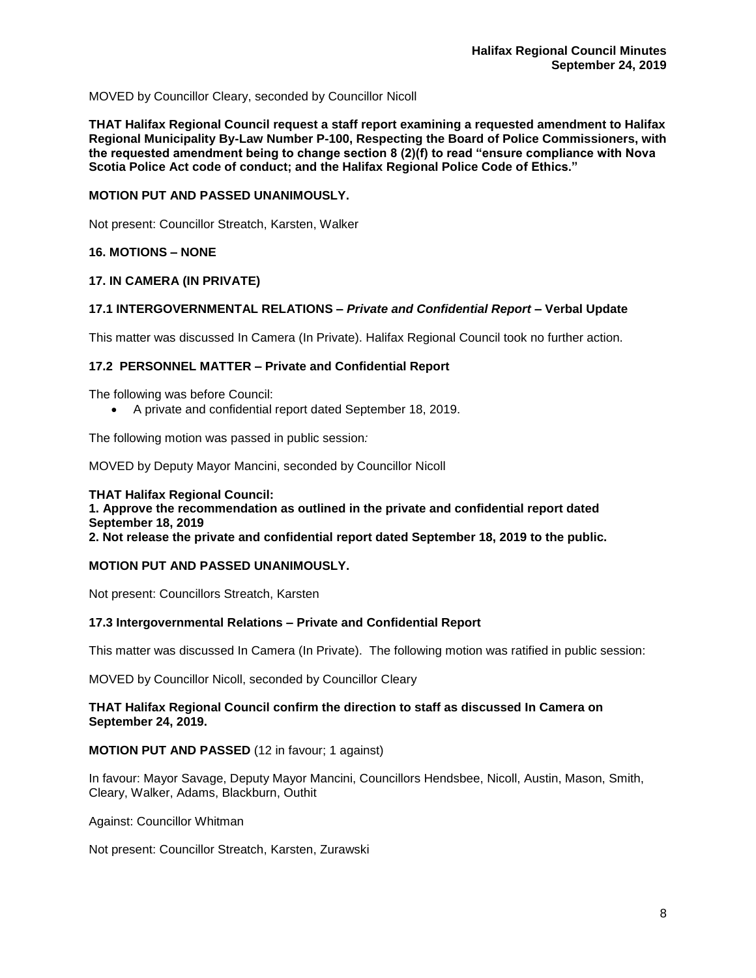MOVED by Councillor Cleary, seconded by Councillor Nicoll

**THAT Halifax Regional Council request a staff report examining a requested amendment to Halifax Regional Municipality By-Law Number P-100, Respecting the Board of Police Commissioners, with the requested amendment being to change section 8 (2)(f) to read "ensure compliance with Nova Scotia Police Act code of conduct; and the Halifax Regional Police Code of Ethics."**

# **MOTION PUT AND PASSED UNANIMOUSLY.**

Not present: Councillor Streatch, Karsten, Walker

# **16. MOTIONS – NONE**

# **17. IN CAMERA (IN PRIVATE)**

# **17.1 INTERGOVERNMENTAL RELATIONS –** *Private and Confidential Report* **– Verbal Update**

This matter was discussed In Camera (In Private). Halifax Regional Council took no further action.

# **17.2 PERSONNEL MATTER – Private and Confidential Report**

The following was before Council:

• A private and confidential report dated September 18, 2019.

The following motion was passed in public session*:*

MOVED by Deputy Mayor Mancini, seconded by Councillor Nicoll

**THAT Halifax Regional Council: 1. Approve the recommendation as outlined in the private and confidential report dated September 18, 2019 2. Not release the private and confidential report dated September 18, 2019 to the public.** 

## **MOTION PUT AND PASSED UNANIMOUSLY.**

Not present: Councillors Streatch, Karsten

## **17.3 Intergovernmental Relations – Private and Confidential Report**

This matter was discussed In Camera (In Private). The following motion was ratified in public session:

MOVED by Councillor Nicoll, seconded by Councillor Cleary

## **THAT Halifax Regional Council confirm the direction to staff as discussed In Camera on September 24, 2019.**

## **MOTION PUT AND PASSED** (12 in favour; 1 against)

In favour: Mayor Savage, Deputy Mayor Mancini, Councillors Hendsbee, Nicoll, Austin, Mason, Smith, Cleary, Walker, Adams, Blackburn, Outhit

Against: Councillor Whitman

Not present: Councillor Streatch, Karsten, Zurawski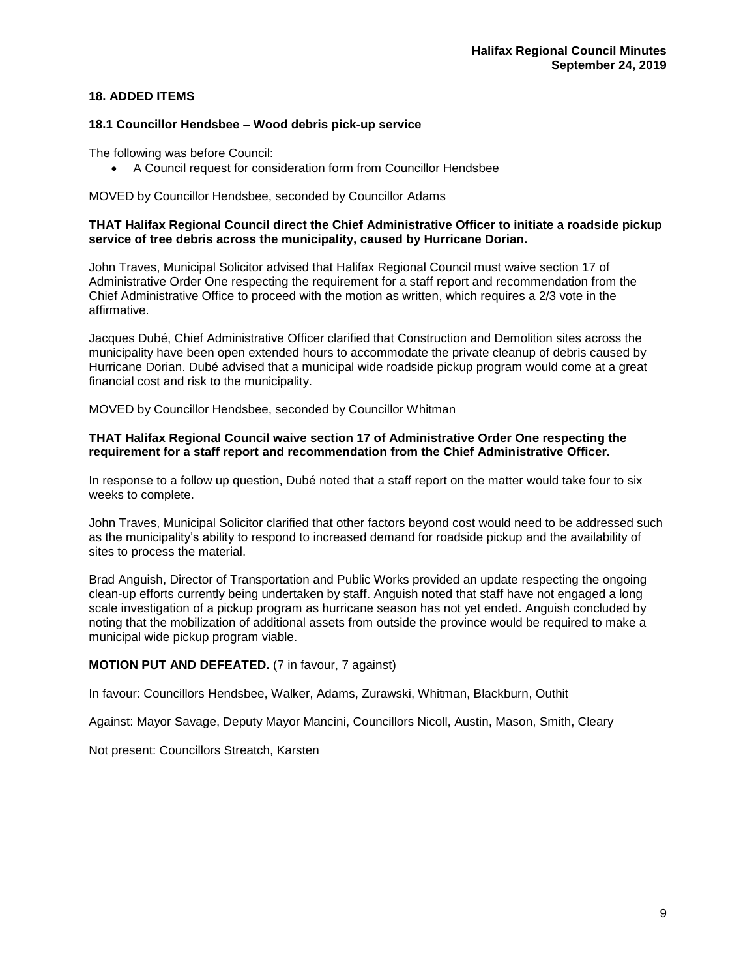# **18. ADDED ITEMS**

#### **18.1 Councillor Hendsbee – Wood debris pick-up service**

The following was before Council:

• A Council request for consideration form from Councillor Hendsbee

MOVED by Councillor Hendsbee, seconded by Councillor Adams

## **THAT Halifax Regional Council direct the Chief Administrative Officer to initiate a roadside pickup service of tree debris across the municipality, caused by Hurricane Dorian.**

John Traves, Municipal Solicitor advised that Halifax Regional Council must waive section 17 of Administrative Order One respecting the requirement for a staff report and recommendation from the Chief Administrative Office to proceed with the motion as written, which requires a 2/3 vote in the affirmative.

Jacques Dubé, Chief Administrative Officer clarified that Construction and Demolition sites across the municipality have been open extended hours to accommodate the private cleanup of debris caused by Hurricane Dorian. Dubé advised that a municipal wide roadside pickup program would come at a great financial cost and risk to the municipality.

MOVED by Councillor Hendsbee, seconded by Councillor Whitman

#### **THAT Halifax Regional Council waive section 17 of Administrative Order One respecting the requirement for a staff report and recommendation from the Chief Administrative Officer.**

In response to a follow up question, Dubé noted that a staff report on the matter would take four to six weeks to complete.

John Traves, Municipal Solicitor clarified that other factors beyond cost would need to be addressed such as the municipality's ability to respond to increased demand for roadside pickup and the availability of sites to process the material.

Brad Anguish, Director of Transportation and Public Works provided an update respecting the ongoing clean-up efforts currently being undertaken by staff. Anguish noted that staff have not engaged a long scale investigation of a pickup program as hurricane season has not yet ended. Anguish concluded by noting that the mobilization of additional assets from outside the province would be required to make a municipal wide pickup program viable.

## **MOTION PUT AND DEFEATED.** (7 in favour, 7 against)

In favour: Councillors Hendsbee, Walker, Adams, Zurawski, Whitman, Blackburn, Outhit

Against: Mayor Savage, Deputy Mayor Mancini, Councillors Nicoll, Austin, Mason, Smith, Cleary

Not present: Councillors Streatch, Karsten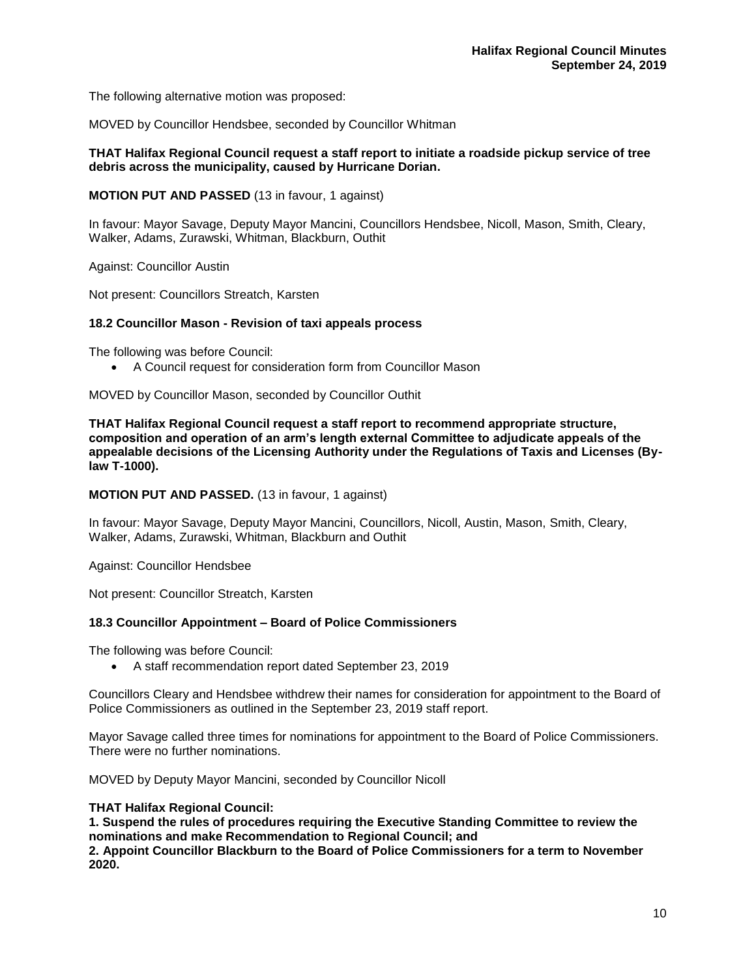The following alternative motion was proposed:

MOVED by Councillor Hendsbee, seconded by Councillor Whitman

## **THAT Halifax Regional Council request a staff report to initiate a roadside pickup service of tree debris across the municipality, caused by Hurricane Dorian.**

**MOTION PUT AND PASSED** (13 in favour, 1 against)

In favour: Mayor Savage, Deputy Mayor Mancini, Councillors Hendsbee, Nicoll, Mason, Smith, Cleary, Walker, Adams, Zurawski, Whitman, Blackburn, Outhit

Against: Councillor Austin

Not present: Councillors Streatch, Karsten

#### **18.2 Councillor Mason - Revision of taxi appeals process**

The following was before Council:

• A Council request for consideration form from Councillor Mason

MOVED by Councillor Mason, seconded by Councillor Outhit

**THAT Halifax Regional Council request a staff report to recommend appropriate structure, composition and operation of an arm's length external Committee to adjudicate appeals of the appealable decisions of the Licensing Authority under the Regulations of Taxis and Licenses (Bylaw T-1000).**

**MOTION PUT AND PASSED.** (13 in favour, 1 against)

In favour: Mayor Savage, Deputy Mayor Mancini, Councillors, Nicoll, Austin, Mason, Smith, Cleary, Walker, Adams, Zurawski, Whitman, Blackburn and Outhit

Against: Councillor Hendsbee

Not present: Councillor Streatch, Karsten

#### **18.3 Councillor Appointment – Board of Police Commissioners**

The following was before Council:

• A staff recommendation report dated September 23, 2019

Councillors Cleary and Hendsbee withdrew their names for consideration for appointment to the Board of Police Commissioners as outlined in the September 23, 2019 staff report.

Mayor Savage called three times for nominations for appointment to the Board of Police Commissioners. There were no further nominations.

MOVED by Deputy Mayor Mancini, seconded by Councillor Nicoll

#### **THAT Halifax Regional Council:**

**1. Suspend the rules of procedures requiring the Executive Standing Committee to review the nominations and make Recommendation to Regional Council; and**

**2. Appoint Councillor Blackburn to the Board of Police Commissioners for a term to November 2020.**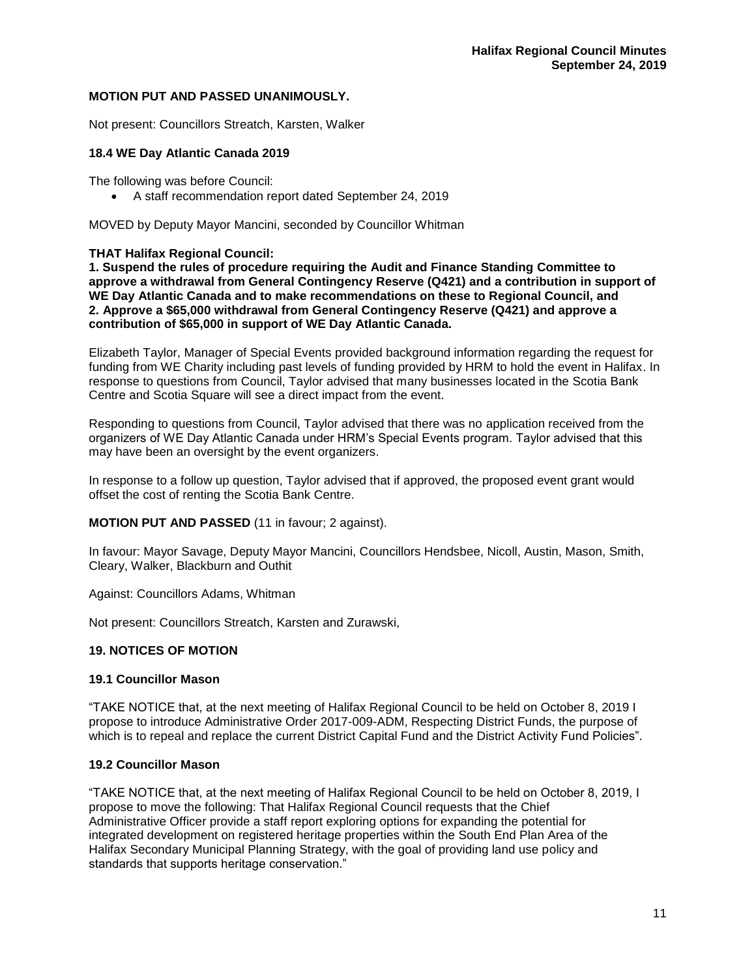## **MOTION PUT AND PASSED UNANIMOUSLY.**

Not present: Councillors Streatch, Karsten, Walker

## **18.4 WE Day Atlantic Canada 2019**

The following was before Council:

• A staff recommendation report dated September 24, 2019

MOVED by Deputy Mayor Mancini, seconded by Councillor Whitman

#### **THAT Halifax Regional Council:**

**1. Suspend the rules of procedure requiring the Audit and Finance Standing Committee to approve a withdrawal from General Contingency Reserve (Q421) and a contribution in support of WE Day Atlantic Canada and to make recommendations on these to Regional Council, and 2. Approve a \$65,000 withdrawal from General Contingency Reserve (Q421) and approve a contribution of \$65,000 in support of WE Day Atlantic Canada.**

Elizabeth Taylor, Manager of Special Events provided background information regarding the request for funding from WE Charity including past levels of funding provided by HRM to hold the event in Halifax. In response to questions from Council, Taylor advised that many businesses located in the Scotia Bank Centre and Scotia Square will see a direct impact from the event.

Responding to questions from Council, Taylor advised that there was no application received from the organizers of WE Day Atlantic Canada under HRM's Special Events program. Taylor advised that this may have been an oversight by the event organizers.

In response to a follow up question, Taylor advised that if approved, the proposed event grant would offset the cost of renting the Scotia Bank Centre.

**MOTION PUT AND PASSED** (11 in favour; 2 against).

In favour: Mayor Savage, Deputy Mayor Mancini, Councillors Hendsbee, Nicoll, Austin, Mason, Smith, Cleary, Walker, Blackburn and Outhit

Against: Councillors Adams, Whitman

Not present: Councillors Streatch, Karsten and Zurawski,

## **19. NOTICES OF MOTION**

#### **19.1 Councillor Mason**

"TAKE NOTICE that, at the next meeting of Halifax Regional Council to be held on October 8, 2019 I propose to introduce Administrative Order 2017-009-ADM, Respecting District Funds, the purpose of which is to repeal and replace the current District Capital Fund and the District Activity Fund Policies".

#### **19.2 Councillor Mason**

"TAKE NOTICE that, at the next meeting of Halifax Regional Council to be held on October 8, 2019, I propose to move the following: That Halifax Regional Council requests that the Chief Administrative Officer provide a staff report exploring options for expanding the potential for integrated development on registered heritage properties within the South End Plan Area of the Halifax Secondary Municipal Planning Strategy, with the goal of providing land use policy and standards that supports heritage conservation."